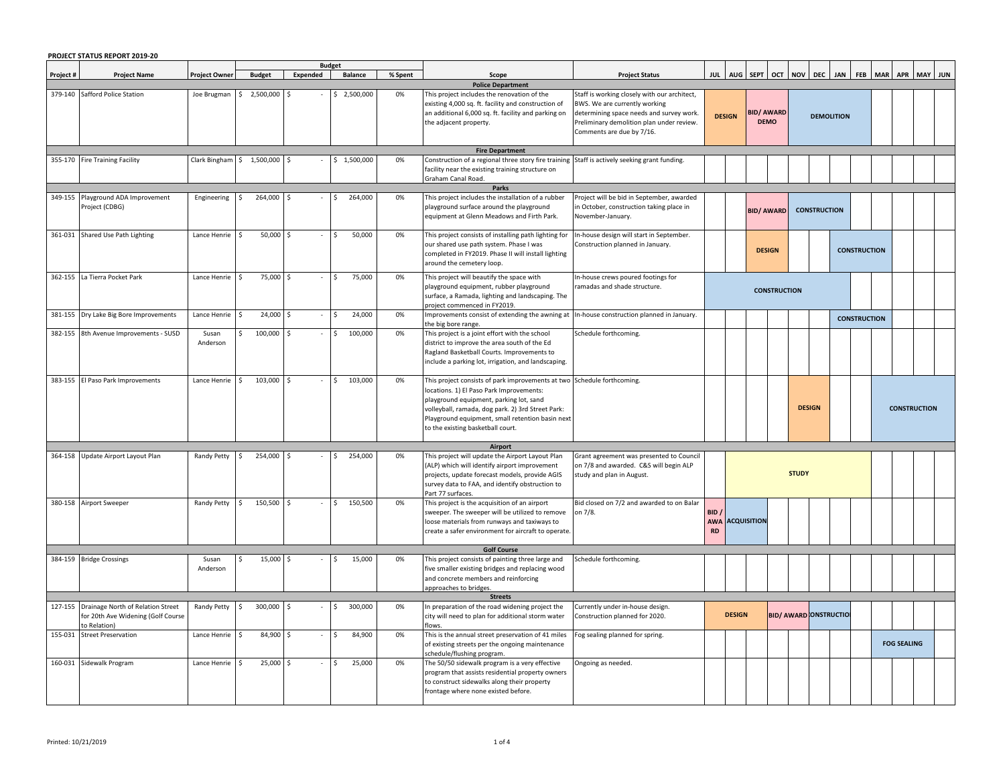|           | PROJECT STATUS REPORT 2019-20                                                                   |                            |        |               | <b>Budget</b> |                    |         |         |                                                                                                                                                                                                                                                                                                              |                                                                                                                                                                                                     |                                |                          |                                          |                     |                   |                                |            |                     |                     |            |  |         |  |
|-----------|-------------------------------------------------------------------------------------------------|----------------------------|--------|---------------|---------------|--------------------|---------|---------|--------------------------------------------------------------------------------------------------------------------------------------------------------------------------------------------------------------------------------------------------------------------------------------------------------------|-----------------------------------------------------------------------------------------------------------------------------------------------------------------------------------------------------|--------------------------------|--------------------------|------------------------------------------|---------------------|-------------------|--------------------------------|------------|---------------------|---------------------|------------|--|---------|--|
| Project # | <b>Project Name</b>                                                                             | <b>Project Owner</b>       |        | <b>Budget</b> | Expended      | Balance            |         | % Spent | Scope                                                                                                                                                                                                                                                                                                        | <b>Project Status</b>                                                                                                                                                                               |                                | JUL AUG SEPT OCT NOV DEC |                                          |                     |                   |                                | <b>JAN</b> | <b>FEB</b>          | <b>MAR</b>          | <b>APR</b> |  | MAY JUN |  |
|           |                                                                                                 |                            |        |               |               |                    |         |         | <b>Police Department</b>                                                                                                                                                                                                                                                                                     |                                                                                                                                                                                                     |                                |                          |                                          |                     |                   |                                |            |                     |                     |            |  |         |  |
|           | 379-140 Safford Police Station                                                                  | Joe Brugman                | Ŝ.     | 2,500,000     |               | 2,500,000          |         | 0%      | This project includes the renovation of the<br>existing 4,000 sq. ft. facility and construction of<br>an additional 6,000 sq. ft. facility and parking on<br>the adjacent property.                                                                                                                          | Staff is working closely with our architect,<br>BWS. We are currently working<br>determining space needs and survey work.<br>Preliminary demolition plan under review.<br>Comments are due by 7/16. |                                | <b>DESIGN</b>            | <b>BID/ AWARD</b><br><b>DEMO</b>         |                     | <b>DEMOLITION</b> |                                |            |                     |                     |            |  |         |  |
|           | 355-170 Fire Training Facility                                                                  | Clark Bingham \$ 1,500,000 |        |               |               | 1,500,000          |         | 0%      | <b>Fire Department</b><br>Construction of a regional three story fire training Staff is actively seeking grant funding.                                                                                                                                                                                      |                                                                                                                                                                                                     |                                |                          |                                          |                     |                   |                                |            |                     |                     |            |  |         |  |
|           |                                                                                                 |                            |        |               |               |                    |         |         | facility near the existing training structure on<br>Graham Canal Road.<br>Parks                                                                                                                                                                                                                              |                                                                                                                                                                                                     |                                |                          |                                          |                     |                   |                                |            |                     |                     |            |  |         |  |
|           | 349-155 Playground ADA Improvement<br>Project (CDBG)                                            | Engineering                |        | 264,000 \$    |               |                    | 264,000 | 0%      | This project includes the installation of a rubber<br>playground surface around the playground<br>equipment at Glenn Meadows and Firth Park.                                                                                                                                                                 | Project will be bid in September, awarded<br>in October, construction taking place in<br>November-January.                                                                                          |                                |                          | <b>CONSTRUCTION</b><br><b>BID/ AWARD</b> |                     |                   |                                |            |                     |                     |            |  |         |  |
|           | 361-031 Shared Use Path Lighting                                                                | Lance Henrie               |        | $50,000$ \$   |               |                    | 50,000  | 0%      | This project consists of installing path lighting for<br>our shared use path system. Phase I was<br>completed in FY2019. Phase II will install lighting<br>around the cemetery loop.                                                                                                                         | In-house design will start in September.<br>Construction planned in January.                                                                                                                        |                                |                          | <b>DESIGN</b><br><b>CONSTRUCTION</b>     |                     |                   |                                |            |                     |                     |            |  |         |  |
|           | 362-155 La Tierra Pocket Park                                                                   | Lance Henrie               | $\sim$ | 75,000        | \$            | Ŝ.                 | 75,000  | 0%      | This project will beautify the space with<br>playground equipment, rubber playground<br>surface, a Ramada, lighting and landscaping. The<br>project commenced in FY2019.                                                                                                                                     | In-house crews poured footings for<br>ramadas and shade structure.                                                                                                                                  |                                |                          |                                          | <b>CONSTRUCTION</b> |                   |                                |            |                     |                     |            |  |         |  |
|           | 381-155 Dry Lake Big Bore Improvements                                                          | Lance Henrie               |        | 24,000        | \$            |                    | 24,000  | 0%      | Improvements consist of extending the awning at<br>the big bore range.                                                                                                                                                                                                                                       | In-house construction planned in January.                                                                                                                                                           |                                |                          |                                          |                     |                   |                                |            | <b>CONSTRUCTION</b> |                     |            |  |         |  |
|           | 382-155 8th Avenue Improvements - SUSD                                                          | Susan<br>Anderson          |        | $100,000$ \$  |               |                    | 100,000 | 0%      | This project is a joint effort with the school<br>district to improve the area south of the Ed<br>Ragland Basketball Courts. Improvements to<br>include a parking lot, irrigation, and landscaping.                                                                                                          | Schedule forthcoming.                                                                                                                                                                               |                                |                          |                                          |                     |                   |                                |            |                     |                     |            |  |         |  |
|           | 383-155 El Paso Park Improvements                                                               | Lance Henrie \$            |        | 103,000 \$    |               | 103,000<br>$\zeta$ |         | 0%      | This project consists of park improvements at two Schedule forthcoming.<br>locations. 1) El Paso Park Improvements:<br>playground equipment, parking lot, sand<br>volleyball, ramada, dog park. 2) 3rd Street Park:<br>Playground equipment, small retention basin next<br>to the existing basketball court. |                                                                                                                                                                                                     |                                |                          |                                          |                     |                   | <b>DESIGN</b>                  |            |                     | <b>CONSTRUCTION</b> |            |  |         |  |
|           |                                                                                                 |                            |        |               |               |                    |         |         | Airport                                                                                                                                                                                                                                                                                                      |                                                                                                                                                                                                     |                                |                          |                                          |                     |                   |                                |            |                     |                     |            |  |         |  |
|           | 364-158 Update Airport Layout Plan                                                              | Randy Petty \$             |        | 254,000 \$    |               |                    | 254,000 | 0%      | This project will update the Airport Layout Plan<br>(ALP) which will identify airport improvement<br>projects, update forecast models, provide AGIS<br>survey data to FAA, and identify obstruction to<br>Part 77 surfaces.                                                                                  | Grant agreement was presented to Council<br>on 7/8 and awarded. C&S will begin ALP<br>study and plan in August.                                                                                     |                                |                          |                                          |                     | <b>STUDY</b>      |                                |            |                     |                     |            |  |         |  |
|           | 380-158 Airport Sweeper                                                                         | Randy Petty                | I\$    | 150,500 \$    |               | 150,500<br>Ŝ.      |         | 0%      | This project is the acquisition of an airport<br>sweeper. The sweeper will be utilized to remove<br>loose materials from runways and taxiways to<br>create a safer environment for aircraft to operate.<br><b>Golf Course</b>                                                                                | Bid closed on 7/2 and awarded to on Balar<br>on 7/8.                                                                                                                                                | BID<br><b>AWA</b><br><b>RD</b> | <b>ACQUISITION</b>       |                                          |                     |                   |                                |            |                     |                     |            |  |         |  |
|           | 384-159 Bridge Crossings                                                                        | Susan                      |        | 15,000        |               |                    | 15,000  | 0%      | This project consists of painting three large and                                                                                                                                                                                                                                                            | Schedule forthcoming.                                                                                                                                                                               |                                |                          |                                          |                     |                   |                                |            |                     |                     |            |  |         |  |
|           |                                                                                                 | Anderson                   |        |               |               |                    |         |         | five smaller existing bridges and replacing wood<br>and concrete members and reinforcing<br>approaches to bridges                                                                                                                                                                                            |                                                                                                                                                                                                     |                                |                          |                                          |                     |                   |                                |            |                     |                     |            |  |         |  |
|           |                                                                                                 |                            |        |               |               |                    |         |         | <b>Streets</b>                                                                                                                                                                                                                                                                                               |                                                                                                                                                                                                     |                                |                          |                                          |                     |                   |                                |            |                     |                     |            |  |         |  |
|           | 127-155 Drainage North of Relation Street<br>for 20th Ave Widening (Golf Course<br>to Relation) | Randy Petty                | l\$    | 300,000 \$    |               |                    | 300,000 | 0%      | In preparation of the road widening project the<br>city will need to plan for additional storm water<br>lows.                                                                                                                                                                                                | Currently under in-house design.<br>Construction planned for 2020.                                                                                                                                  |                                | <b>DESIGN</b>            |                                          |                     |                   | <b>BID/ AWARD CONSTRUCTION</b> |            |                     |                     |            |  |         |  |
|           | 155-031 Street Preservation                                                                     | Lance Henrie \$            |        | 84,900        |               |                    | 84,900  | 0%      | This is the annual street preservation of 41 miles<br>of existing streets per the ongoing maintenance<br>schedule/flushing program.                                                                                                                                                                          | og sealing planned for spring.                                                                                                                                                                      |                                |                          |                                          |                     |                   |                                |            |                     | <b>FOG SEALING</b>  |            |  |         |  |
|           | 160-031 Sidewalk Program                                                                        | Lance Henrie               |        | 25,000        |               |                    | 25,000  | 0%      | The 50/50 sidewalk program is a very effective<br>program that assists residential property owners<br>to construct sidewalks along their property<br>rontage where none existed before.                                                                                                                      | Ongoing as needed.                                                                                                                                                                                  |                                |                          |                                          |                     |                   |                                |            |                     |                     |            |  |         |  |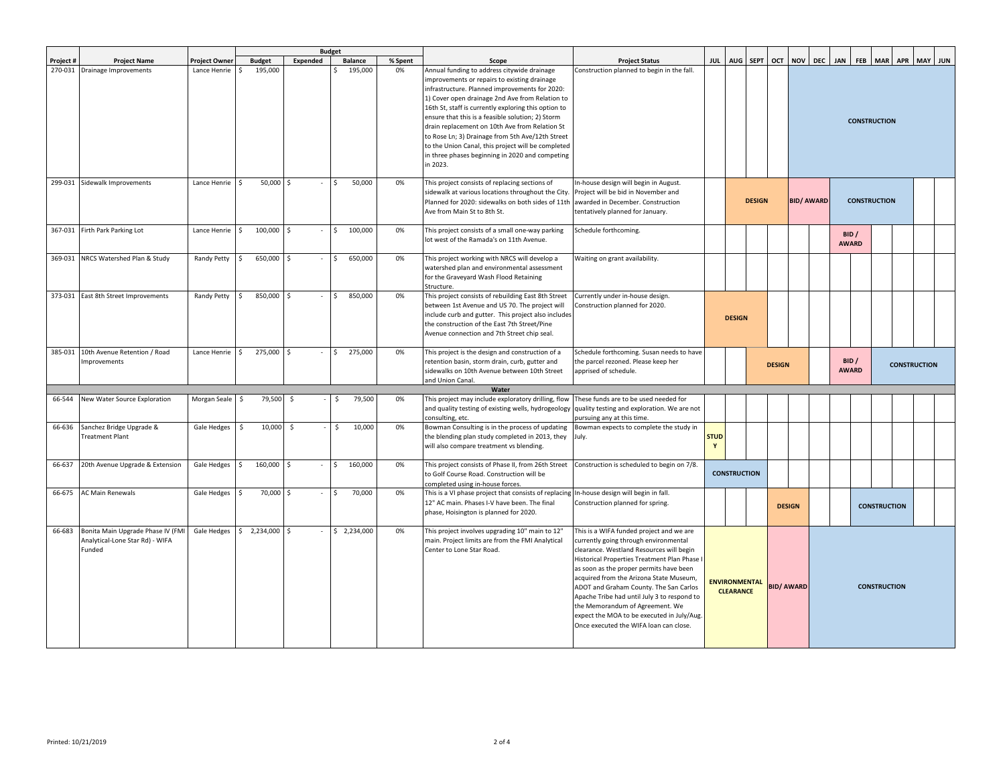|           |                                                                                |                      |                               |                     | <b>Budget</b> |                |         |                                                                                                                                                                                                                                                                                                                                                                                                                                                                                                                                          |                                                                                                                                                                                                                                                                                                                                                                                                                                                                                         |                             |                                          |               |               |                   |                                              |                       |  |                     |  |  |  |  |
|-----------|--------------------------------------------------------------------------------|----------------------|-------------------------------|---------------------|---------------|----------------|---------|------------------------------------------------------------------------------------------------------------------------------------------------------------------------------------------------------------------------------------------------------------------------------------------------------------------------------------------------------------------------------------------------------------------------------------------------------------------------------------------------------------------------------------------|-----------------------------------------------------------------------------------------------------------------------------------------------------------------------------------------------------------------------------------------------------------------------------------------------------------------------------------------------------------------------------------------------------------------------------------------------------------------------------------------|-----------------------------|------------------------------------------|---------------|---------------|-------------------|----------------------------------------------|-----------------------|--|---------------------|--|--|--|--|
| Project # | <b>Project Name</b>                                                            | <b>Project Owner</b> | <b>Budget</b>                 | Expended            |               | <b>Balance</b> | % Spent | Scope                                                                                                                                                                                                                                                                                                                                                                                                                                                                                                                                    | <b>Project Status</b>                                                                                                                                                                                                                                                                                                                                                                                                                                                                   |                             | JUL AUG SEPT                             |               |               |                   | OCT NOV DEC JAN FEB MAR APR MAY JUN          |                       |  |                     |  |  |  |  |
| 270-031   | Drainage Improvements                                                          | Lance Henrie         | 195,000                       |                     |               | 195,000        | 0%      | Annual funding to address citywide drainage<br>improvements or repairs to existing drainage<br>infrastructure. Planned improvements for 2020:<br>1) Cover open drainage 2nd Ave from Relation to<br>16th St, staff is currently exploring this option to<br>ensure that this is a feasible solution; 2) Storm<br>drain replacement on 10th Ave from Relation St<br>to Rose Ln; 3) Drainage from 5th Ave/12th Street<br>to the Union Canal, this project will be completed<br>in three phases beginning in 2020 and competing<br>in 2023. | Construction planned to begin in the fall.                                                                                                                                                                                                                                                                                                                                                                                                                                              |                             |                                          |               |               |                   | <b>CONSTRUCTION</b>                          |                       |  |                     |  |  |  |  |
|           | 299-031 Sidewalk Improvements                                                  | Lance Henrie         | $50,000$ \$<br>$\zeta$        |                     | \$            | 50,000         | 0%      | This project consists of replacing sections of<br>sidewalk at various locations throughout the City.<br>Planned for 2020: sidewalks on both sides of 11th awarded in December. Construction<br>Ave from Main St to 8th St.                                                                                                                                                                                                                                                                                                               | n-house design will begin in August.<br>Project will be bid in November and<br>tentatively planned for January.                                                                                                                                                                                                                                                                                                                                                                         |                             |                                          | <b>DESIGN</b> |               | <b>BID/ AWARD</b> |                                              |                       |  | <b>CONSTRUCTION</b> |  |  |  |  |
|           | 367-031 Firth Park Parking Lot                                                 | Lance Henrie         | $\mathsf{S}$<br>100,000 \$    |                     | Ŝ.            | 100,000        | 0%      | This project consists of a small one-way parking<br>lot west of the Ramada's on 11th Avenue.                                                                                                                                                                                                                                                                                                                                                                                                                                             | Schedule forthcoming.                                                                                                                                                                                                                                                                                                                                                                                                                                                                   |                             |                                          |               |               |                   |                                              | BID /<br><b>AWARD</b> |  |                     |  |  |  |  |
|           | 369-031 NRCS Watershed Plan & Study                                            | <b>Randy Petty</b>   | 650,000 \$<br>$\mathsf{S}$    |                     | \$            | 650,000        | 0%      | This project working with NRCS will develop a<br>watershed plan and environmental assessment<br>for the Graveyard Wash Flood Retaining<br>Structure.                                                                                                                                                                                                                                                                                                                                                                                     | Waiting on grant availability.                                                                                                                                                                                                                                                                                                                                                                                                                                                          |                             |                                          |               |               |                   |                                              |                       |  |                     |  |  |  |  |
|           | 373-031 East 8th Street Improvements                                           | <b>Randy Petty</b>   | 850,000 \$                    |                     | Ś.            | 850,000        | 0%      | This project consists of rebuilding East 8th Street<br>between 1st Avenue and US 70. The project will<br>include curb and gutter. This project also includes<br>the construction of the East 7th Street/Pine<br>Avenue connection and 7th Street chip seal.                                                                                                                                                                                                                                                                              | Currently under in-house design.<br>Construction planned for 2020.                                                                                                                                                                                                                                                                                                                                                                                                                      |                             | <b>DESIGN</b>                            |               |               |                   |                                              |                       |  |                     |  |  |  |  |
|           | 385-031 10th Avenue Retention / Road<br><b>Improvements</b>                    | Lance Henrie         | 275,000 \$<br>$\leq$          |                     | \$.           | 275,000        | 0%      | This project is the design and construction of a<br>retention basin, storm drain, curb, gutter and<br>sidewalks on 10th Avenue between 10th Street<br>and Union Canal.                                                                                                                                                                                                                                                                                                                                                                   | Schedule forthcoming. Susan needs to have<br>the parcel rezoned. Please keep her<br>apprised of schedule.                                                                                                                                                                                                                                                                                                                                                                               |                             |                                          |               | <b>DESIGN</b> |                   | BID /<br><b>CONSTRUCTION</b><br><b>AWARD</b> |                       |  |                     |  |  |  |  |
|           |                                                                                |                      |                               |                     |               |                |         | Water                                                                                                                                                                                                                                                                                                                                                                                                                                                                                                                                    |                                                                                                                                                                                                                                                                                                                                                                                                                                                                                         |                             |                                          |               |               |                   |                                              |                       |  |                     |  |  |  |  |
| 66-544    | New Water Source Exploration                                                   | Morgan Seale         | 79,500<br>-S                  | \$                  | Ŝ.            | 79,500         | 0%      | This project may include exploratory drilling, flow<br>and quality testing of existing wells, hydrogeology<br>consulting, etc.                                                                                                                                                                                                                                                                                                                                                                                                           | These funds are to be used needed for<br>quality testing and exploration. We are not<br>pursuing any at this time.                                                                                                                                                                                                                                                                                                                                                                      |                             |                                          |               |               |                   |                                              |                       |  |                     |  |  |  |  |
| 66-636    | Sanchez Bridge Upgrade &<br><b>Treatment Plant</b>                             | Gale Hedges          | $\ddot{\mathsf{S}}$<br>10,000 | $\ddot{\mathsf{s}}$ | \$            | 10,000         | 0%      | Bowman Consulting is in the process of updating<br>the blending plan study completed in 2013, they<br>will also compare treatment vs blending.                                                                                                                                                                                                                                                                                                                                                                                           | Bowman expects to complete the study in<br>July.                                                                                                                                                                                                                                                                                                                                                                                                                                        | <b>STUD</b><br>$\mathbf{v}$ |                                          |               |               |                   |                                              |                       |  |                     |  |  |  |  |
|           | 66-637 20th Avenue Upgrade & Extension                                         | Gale Hedges \$       | 160,000 \$                    |                     | Ŝ.            | 160,000        | 0%      | This project consists of Phase II, from 26th Street<br>to Golf Course Road. Construction will be<br>completed using in-house forces.                                                                                                                                                                                                                                                                                                                                                                                                     | Construction is scheduled to begin on 7/8.                                                                                                                                                                                                                                                                                                                                                                                                                                              |                             | <b>CONSTRUCTION</b>                      |               |               |                   |                                              |                       |  |                     |  |  |  |  |
| 66-675    | <b>AC Main Renewals</b>                                                        | Gale Hedges          | \$<br>70,000 \$               |                     | \$            | 70,000         | 0%      | This is a VI phase project that consists of replacing<br>12" AC main. Phases I-V have been. The final<br>phase, Hoisington is planned for 2020.                                                                                                                                                                                                                                                                                                                                                                                          | In-house design will begin in fall.<br>Construction planned for spring.                                                                                                                                                                                                                                                                                                                                                                                                                 |                             |                                          |               | <b>DESIGN</b> |                   |                                              | <b>CONSTRUCTION</b>   |  |                     |  |  |  |  |
| 66-683    | Bonita Main Upgrade Phase IV (FMI<br>Analytical-Lone Star Rd) - WIFA<br>Funded | Gale Hedges          | Ś.<br>2,234,000 \$            |                     |               | \$2,234,000    | 0%      | This project involves upgrading 10" main to 12"<br>main. Project limits are from the FMI Analytical<br>Center to Lone Star Road.                                                                                                                                                                                                                                                                                                                                                                                                         | This is a WIFA funded project and we are<br>currently going through environmental<br>clearance. Westland Resources will begin<br>Historical Properties Treatment Plan Phase I<br>as soon as the proper permits have been<br>acquired from the Arizona State Museum,<br>ADOT and Graham County. The San Carlos<br>Apache Tribe had until July 3 to respond to<br>the Memorandum of Agreement. We<br>expect the MOA to be executed in July/Aug.<br>Once executed the WIFA loan can close. |                             | <b>ENVIRONMENTAL</b><br><b>CLEARANCE</b> |               |               | <b>BID/ AWARD</b> | <b>CONSTRUCTION</b>                          |                       |  |                     |  |  |  |  |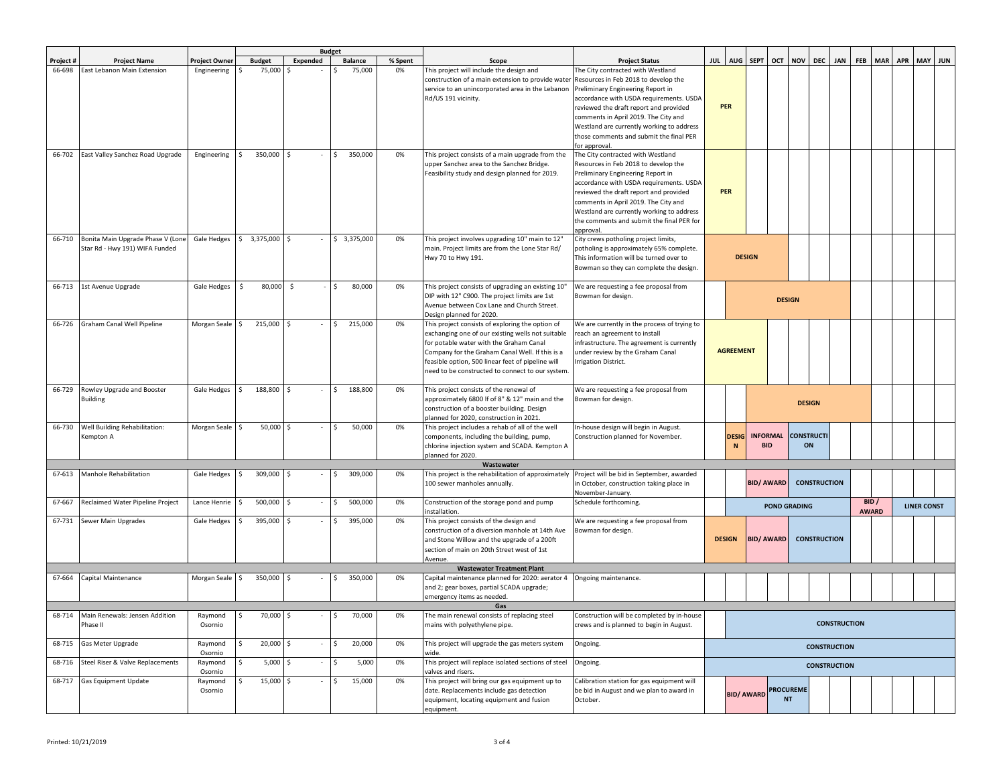|           |                                   |                    |                             |                     | <b>Budget</b>            |         |                                                                                                |                                                                                    |                     |                                 |                   |                  |                     |                     |                     |            |                   |                    |  |  |  |  |  |
|-----------|-----------------------------------|--------------------|-----------------------------|---------------------|--------------------------|---------|------------------------------------------------------------------------------------------------|------------------------------------------------------------------------------------|---------------------|---------------------------------|-------------------|------------------|---------------------|---------------------|---------------------|------------|-------------------|--------------------|--|--|--|--|--|
| Project # | <b>Project Name</b>               | Project Owner      | <b>Budget</b>               | Expended            | <b>Balance</b>           | % Spent | Scope                                                                                          | <b>Project Status</b>                                                              |                     | JUL AUG SEPT                    |                   |                  | OCT NOV DEC         |                     | <b>JAN</b>          | <b>FEB</b> | <b>MAR</b>        | APR MAY JUN        |  |  |  |  |  |
| 66-698    | East Lebanon Main Extension       | Engineering        | 75,000                      | -S                  | 75,000<br>l S            | 0%      | This project will include the design and                                                       | The City contracted with Westland                                                  |                     |                                 |                   |                  |                     |                     |                     |            |                   |                    |  |  |  |  |  |
|           |                                   |                    |                             |                     |                          |         | construction of a main extension to provide water                                              | Resources in Feb 2018 to develop the                                               |                     |                                 |                   |                  |                     |                     |                     |            |                   |                    |  |  |  |  |  |
|           |                                   |                    |                             |                     |                          |         | service to an unincorporated area in the Lebanon                                               | Preliminary Engineering Report in                                                  |                     |                                 |                   |                  |                     |                     |                     |            |                   |                    |  |  |  |  |  |
|           |                                   |                    |                             |                     |                          |         | Rd/US 191 vicinity.                                                                            | accordance with USDA requirements. USDA<br>reviewed the draft report and provided  |                     | <b>PER</b>                      |                   |                  |                     |                     |                     |            |                   |                    |  |  |  |  |  |
|           |                                   |                    |                             |                     |                          |         |                                                                                                | comments in April 2019. The City and                                               |                     |                                 |                   |                  |                     |                     |                     |            |                   |                    |  |  |  |  |  |
|           |                                   |                    |                             |                     |                          |         |                                                                                                | Westland are currently working to address                                          |                     |                                 |                   |                  |                     |                     |                     |            |                   |                    |  |  |  |  |  |
|           |                                   |                    |                             |                     |                          |         |                                                                                                | those comments and submit the final PER                                            |                     |                                 |                   |                  |                     |                     |                     |            |                   |                    |  |  |  |  |  |
|           |                                   |                    |                             |                     |                          |         |                                                                                                | for approval.                                                                      |                     |                                 |                   |                  |                     |                     |                     |            |                   |                    |  |  |  |  |  |
| 66-702    | East Valley Sanchez Road Upgrade  | Engineering        | 350,000                     | l \$                | 350,000<br>Ŝ.            | 0%      | This project consists of a main upgrade from the                                               | The City contracted with Westland                                                  |                     |                                 |                   |                  |                     |                     |                     |            |                   |                    |  |  |  |  |  |
|           |                                   |                    |                             |                     |                          |         | upper Sanchez area to the Sanchez Bridge.                                                      | Resources in Feb 2018 to develop the                                               |                     |                                 |                   |                  |                     |                     |                     |            |                   |                    |  |  |  |  |  |
|           |                                   |                    |                             |                     |                          |         | Feasibility study and design planned for 2019.                                                 | Preliminary Engineering Report in                                                  |                     |                                 |                   |                  |                     |                     |                     |            |                   |                    |  |  |  |  |  |
|           |                                   |                    |                             |                     |                          |         |                                                                                                | accordance with USDA requirements. USDA<br>reviewed the draft report and provided  |                     | <b>PER</b>                      |                   |                  |                     |                     |                     |            |                   |                    |  |  |  |  |  |
|           |                                   |                    |                             |                     |                          |         |                                                                                                | comments in April 2019. The City and                                               |                     |                                 |                   |                  |                     |                     |                     |            |                   |                    |  |  |  |  |  |
|           |                                   |                    |                             |                     |                          |         |                                                                                                | Westland are currently working to address                                          |                     |                                 |                   |                  |                     |                     |                     |            |                   |                    |  |  |  |  |  |
|           |                                   |                    |                             |                     |                          |         |                                                                                                | the comments and submit the final PER for                                          |                     |                                 |                   |                  |                     |                     |                     |            |                   |                    |  |  |  |  |  |
|           |                                   |                    |                             |                     |                          |         |                                                                                                | approval.                                                                          |                     |                                 |                   |                  |                     |                     |                     |            |                   |                    |  |  |  |  |  |
| 66-710    | Bonita Main Upgrade Phase V (Lone |                    | Gale Hedges \$ 3,375,000 \$ |                     | $ \frac{1}{5}$ 3,375,000 | 0%      | This project involves upgrading 10" main to 12"                                                | City crews potholing project limits,                                               |                     |                                 |                   |                  |                     |                     |                     |            |                   |                    |  |  |  |  |  |
|           | Star Rd - Hwy 191) WIFA Funded    |                    |                             |                     |                          |         | main. Project limits are from the Lone Star Rd/                                                | potholing is approximately 65% complete.                                           |                     |                                 | <b>DESIGN</b>     |                  |                     |                     |                     |            |                   |                    |  |  |  |  |  |
|           |                                   |                    |                             |                     |                          |         | Hwy 70 to Hwy 191.                                                                             | This information will be turned over to<br>Bowman so they can complete the design. |                     |                                 |                   |                  |                     |                     |                     |            |                   |                    |  |  |  |  |  |
|           |                                   |                    |                             |                     |                          |         |                                                                                                |                                                                                    |                     |                                 |                   |                  |                     |                     |                     |            |                   |                    |  |  |  |  |  |
| 66-713    | 1st Avenue Upgrade                | Gale Hedges        | \$<br>80,000                | $\ddot{\mathsf{S}}$ | 80,000<br>I\$            | 0%      | This project consists of upgrading an existing 10"                                             | We are requesting a fee proposal from                                              |                     |                                 |                   |                  |                     |                     |                     |            |                   |                    |  |  |  |  |  |
|           |                                   |                    |                             |                     |                          |         | DIP with 12" C900. The project limits are 1st                                                  | Bowman for design.                                                                 |                     |                                 |                   | <b>DESIGN</b>    |                     |                     |                     |            |                   |                    |  |  |  |  |  |
|           |                                   |                    |                             |                     |                          |         | Avenue between Cox Lane and Church Street.                                                     |                                                                                    |                     |                                 |                   |                  |                     |                     |                     |            |                   |                    |  |  |  |  |  |
|           |                                   |                    |                             |                     |                          |         | Design planned for 2020.                                                                       |                                                                                    |                     |                                 |                   |                  |                     |                     |                     |            |                   |                    |  |  |  |  |  |
| 66-726    | Graham Canal Well Pipeline        | Morgan Seale \$    | 215,000                     | I\$                 | $\vert$ \$<br>215,000    | 0%      | This project consists of exploring the option of                                               | We are currently in the process of trying to                                       |                     |                                 |                   |                  |                     |                     |                     |            |                   |                    |  |  |  |  |  |
|           |                                   |                    |                             |                     |                          |         | exchanging one of our existing wells not suitable<br>for potable water with the Graham Canal   | reach an agreement to install<br>nfrastructure. The agreement is currently         |                     |                                 |                   |                  |                     |                     |                     |            |                   |                    |  |  |  |  |  |
|           |                                   |                    |                             |                     |                          |         | Company for the Graham Canal Well. If this is a                                                | under review by the Graham Canal                                                   | <b>AGREEMENT</b>    |                                 |                   |                  |                     |                     |                     |            |                   |                    |  |  |  |  |  |
|           |                                   |                    |                             |                     |                          |         | feasible option, 500 linear feet of pipeline will                                              | rrigation District.                                                                |                     |                                 |                   |                  |                     |                     |                     |            |                   |                    |  |  |  |  |  |
|           |                                   |                    |                             |                     |                          |         | need to be constructed to connect to our system                                                |                                                                                    |                     |                                 |                   |                  |                     |                     |                     |            |                   |                    |  |  |  |  |  |
|           |                                   |                    |                             |                     |                          |         |                                                                                                |                                                                                    |                     |                                 |                   |                  |                     |                     |                     |            |                   |                    |  |  |  |  |  |
| 66-729    | Rowley Upgrade and Booster        | Gale Hedges \$     | 188,800 \$                  |                     | 188,800<br>$\mathsf{I}$  | 0%      | This project consists of the renewal of                                                        | We are requesting a fee proposal from                                              |                     |                                 |                   |                  |                     |                     |                     |            |                   |                    |  |  |  |  |  |
|           | Building                          |                    |                             |                     |                          |         | approximately 6800 If of 8" & 12" main and the<br>construction of a booster building. Design   | Bowman for design.                                                                 |                     |                                 | <b>DESIGN</b>     |                  |                     |                     |                     |            |                   |                    |  |  |  |  |  |
|           |                                   |                    |                             |                     |                          |         | planned for 2020, construction in 2021.                                                        |                                                                                    |                     |                                 |                   |                  |                     |                     |                     |            |                   |                    |  |  |  |  |  |
| 66-730    | Well Building Rehabilitation:     | Morgan Seale \$    | 50,000                      | <b>S</b>            | 50,000<br>S.             | 0%      | This project includes a rehab of all of the well                                               | n-house design will begin in August.                                               |                     |                                 |                   |                  |                     |                     |                     |            |                   |                    |  |  |  |  |  |
|           | Kempton A                         |                    |                             |                     |                          |         | components, including the building, pump,                                                      | Construction planned for November.                                                 |                     | <b>INFORMAL</b><br><b>DESIG</b> |                   |                  |                     |                     |                     |            | <b>CONSTRUCTI</b> |                    |  |  |  |  |  |
|           |                                   |                    |                             |                     |                          |         | chlorine injection system and SCADA. Kempton A                                                 |                                                                                    |                     | $\mathbf N$                     | <b>BID</b>        |                  |                     | ON                  |                     |            |                   |                    |  |  |  |  |  |
|           |                                   |                    |                             |                     |                          |         | planned for 2020.                                                                              |                                                                                    |                     |                                 |                   |                  |                     |                     |                     |            |                   |                    |  |  |  |  |  |
| 67-613    | Manhole Rehabilitation            | Gale Hedges \$     | 309,000 \$                  |                     | I\$<br>309,000           | 0%      | Wastewater<br>This project is the rehabilitation of approximately                              | Project will be bid in September, awarded                                          |                     |                                 |                   |                  |                     |                     |                     |            |                   |                    |  |  |  |  |  |
|           |                                   |                    |                             |                     |                          |         | 100 sewer manholes annually.                                                                   | in October, construction taking place in                                           |                     |                                 | <b>BID/ AWARD</b> |                  |                     | <b>CONSTRUCTION</b> |                     |            |                   |                    |  |  |  |  |  |
|           |                                   |                    |                             |                     |                          |         |                                                                                                | November-January.                                                                  |                     |                                 |                   |                  |                     |                     |                     |            |                   |                    |  |  |  |  |  |
| 67-667    | Reclaimed Water Pipeline Project  | Lance Henrie       | 500,000 \$<br>I\$           |                     | 500,000<br>l \$          | 0%      | Construction of the storage pond and pump                                                      | Schedule forthcoming.                                                              |                     |                                 |                   |                  | <b>POND GRADING</b> |                     |                     |            | BID/              | <b>LINER CONST</b> |  |  |  |  |  |
|           |                                   |                    |                             |                     |                          |         | nstallation.                                                                                   |                                                                                    |                     |                                 |                   |                  |                     |                     |                     |            | <b>AWARD</b>      |                    |  |  |  |  |  |
| 67-731    | Sewer Main Upgrades               | Gale Hedges        | 395,000<br>I\$              |                     | I\$<br>395,000           | 0%      | This project consists of the design and                                                        | We are requesting a fee proposal from                                              |                     |                                 |                   |                  |                     |                     |                     |            |                   |                    |  |  |  |  |  |
|           |                                   |                    |                             |                     |                          |         | construction of a diversion manhole at 14th Ave<br>and Stone Willow and the upgrade of a 200ft | Bowman for design.                                                                 |                     | <b>DESIGN</b>                   | <b>BID/ AWARD</b> |                  |                     | <b>CONSTRUCTION</b> |                     |            |                   |                    |  |  |  |  |  |
|           |                                   |                    |                             |                     |                          |         | section of main on 20th Street west of 1st                                                     |                                                                                    |                     |                                 |                   |                  |                     |                     |                     |            |                   |                    |  |  |  |  |  |
|           |                                   |                    |                             |                     |                          |         | Avenue.                                                                                        |                                                                                    |                     |                                 |                   |                  |                     |                     |                     |            |                   |                    |  |  |  |  |  |
|           |                                   |                    |                             |                     |                          |         | <b>Wastewater Treatment Plant</b>                                                              |                                                                                    |                     |                                 |                   |                  |                     |                     |                     |            |                   |                    |  |  |  |  |  |
| 67-664    | Capital Maintenance               | Morgan Seale \$    | 350,000 \$                  |                     | 350,000                  | 0%      | Capital maintenance planned for 2020: aerator 4 Ongoing maintenance.                           |                                                                                    |                     |                                 |                   |                  |                     |                     |                     |            |                   |                    |  |  |  |  |  |
|           |                                   |                    |                             |                     |                          |         | and 2; gear boxes, partial SCADA upgrade;<br>emergency items as needed.                        |                                                                                    |                     |                                 |                   |                  |                     |                     |                     |            |                   |                    |  |  |  |  |  |
|           |                                   |                    |                             |                     |                          |         | Gas                                                                                            |                                                                                    |                     |                                 |                   |                  |                     |                     |                     |            |                   |                    |  |  |  |  |  |
| 68-714    | Main Renewals: Jensen Addition    | Raymond            | 70,000 \$                   |                     | 70,000                   |         | The main renewal consists of replacing steel                                                   | Construction will be completed by in-house                                         |                     |                                 |                   |                  |                     |                     |                     |            |                   |                    |  |  |  |  |  |
|           | Phase II                          | Osornio            |                             |                     |                          |         | mains with polyethylene pipe.                                                                  | crews and is planned to begin in August.                                           |                     |                                 |                   |                  |                     |                     | <b>CONSTRUCTION</b> |            |                   |                    |  |  |  |  |  |
|           |                                   |                    |                             |                     |                          |         |                                                                                                |                                                                                    |                     |                                 |                   |                  |                     |                     |                     |            |                   |                    |  |  |  |  |  |
| 68-715    | Gas Meter Upgrade                 | Raymond<br>Osornio | 20,000 \$<br>I\$            |                     | 20,000<br>$-5$           | 0%      | This project will upgrade the gas meters system<br>vide.                                       | Ongoing.                                                                           |                     |                                 |                   |                  |                     | <b>CONSTRUCTION</b> |                     |            |                   |                    |  |  |  |  |  |
| 68-716    | Steel Riser & Valve Replacements  | Raymond            | $\ddot{\varsigma}$<br>5,000 | I\$                 | 5,000<br>l \$            | 0%      | This project will replace isolated sections of steel                                           | Ongoing.                                                                           |                     |                                 |                   |                  |                     |                     |                     |            |                   |                    |  |  |  |  |  |
|           |                                   | Osornio            |                             |                     |                          |         | valves and risers.                                                                             |                                                                                    | <b>CONSTRUCTION</b> |                                 |                   |                  |                     |                     |                     |            |                   |                    |  |  |  |  |  |
| 68-717    | <b>Gas Equipment Update</b>       | Raymond            | \$<br>15,000 \$             |                     | 15,000<br>I\$            | 0%      | This project will bring our gas equipment up to                                                | Calibration station for gas equipment will                                         |                     |                                 |                   |                  |                     |                     |                     |            |                   |                    |  |  |  |  |  |
|           |                                   | Osornio            |                             |                     |                          |         | date. Replacements include gas detection                                                       | be bid in August and we plan to award in                                           |                     |                                 | <b>BID/ AWARD</b> | <b>PROCUREME</b> |                     |                     |                     |            |                   |                    |  |  |  |  |  |
|           |                                   |                    |                             |                     |                          |         | equipment, locating equipment and fusion                                                       | October.                                                                           |                     |                                 |                   | <b>NT</b>        |                     |                     |                     |            |                   |                    |  |  |  |  |  |
|           |                                   |                    |                             |                     |                          |         | equipment.                                                                                     |                                                                                    |                     |                                 |                   |                  |                     |                     |                     |            |                   |                    |  |  |  |  |  |